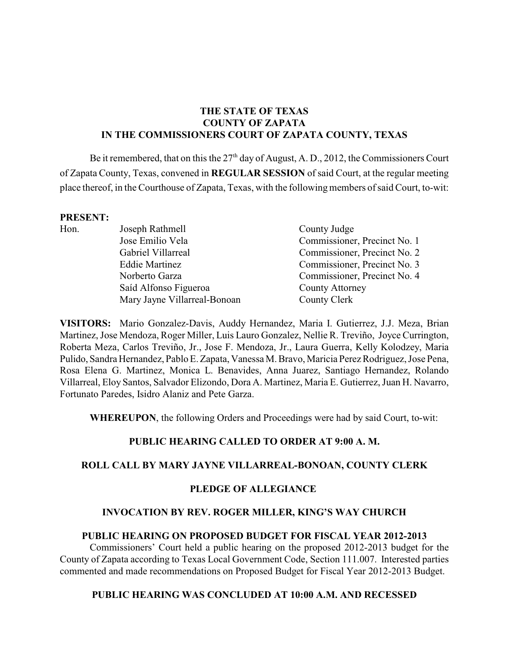## **THE STATE OF TEXAS COUNTY OF ZAPATA IN THE COMMISSIONERS COURT OF ZAPATA COUNTY, TEXAS**

Be it remembered, that on this the  $27<sup>th</sup>$  day of August, A. D., 2012, the Commissioners Court of Zapata County, Texas, convened in **REGULAR SESSION** of said Court, at the regular meeting place thereof, in the Courthouse of Zapata, Texas, with the following members of said Court, to-wit:

#### **PRESENT:**

| 1 INDDED 1 1 |                              |                              |
|--------------|------------------------------|------------------------------|
| Hon.         | Joseph Rathmell              | County Judge                 |
|              | Jose Emilio Vela             | Commissioner, Precinct No. 1 |
|              | Gabriel Villarreal           | Commissioner, Precinct No. 2 |
|              | <b>Eddie Martinez</b>        | Commissioner, Precinct No. 3 |
|              | Norberto Garza               | Commissioner, Precinct No. 4 |
|              | Saíd Alfonso Figueroa        | <b>County Attorney</b>       |
|              | Mary Jayne Villarreal-Bonoan | County Clerk                 |
|              |                              |                              |

**VISITORS:** Mario Gonzalez-Davis, Auddy Hernandez, Maria I. Gutierrez, J.J. Meza, Brian Martinez, Jose Mendoza, Roger Miller, Luis Lauro Gonzalez, Nellie R. Treviño, Joyce Currington, Roberta Meza, Carlos Treviño, Jr., Jose F. Mendoza, Jr., Laura Guerra, Kelly Kolodzey, Maria Pulido, Sandra Hernandez, Pablo E. Zapata, Vanessa M. Bravo, Maricia Perez Rodriguez, Jose Pena, Rosa Elena G. Martinez, Monica L. Benavides, Anna Juarez, Santiago Hernandez, Rolando Villarreal, Eloy Santos, Salvador Elizondo, Dora A. Martinez, Maria E. Gutierrez, Juan H. Navarro, Fortunato Paredes, Isidro Alaniz and Pete Garza.

**WHEREUPON**, the following Orders and Proceedings were had by said Court, to-wit:

## **PUBLIC HEARING CALLED TO ORDER AT 9:00 A. M.**

### **ROLL CALL BY MARY JAYNE VILLARREAL-BONOAN, COUNTY CLERK**

### **PLEDGE OF ALLEGIANCE**

### **INVOCATION BY REV. ROGER MILLER, KING'S WAY CHURCH**

### **PUBLIC HEARING ON PROPOSED BUDGET FOR FISCAL YEAR 2012-2013**

Commissioners' Court held a public hearing on the proposed 2012-2013 budget for the County of Zapata according to Texas Local Government Code, Section 111.007. Interested parties commented and made recommendations on Proposed Budget for Fiscal Year 2012-2013 Budget.

### **PUBLIC HEARING WAS CONCLUDED AT 10:00 A.M. AND RECESSED**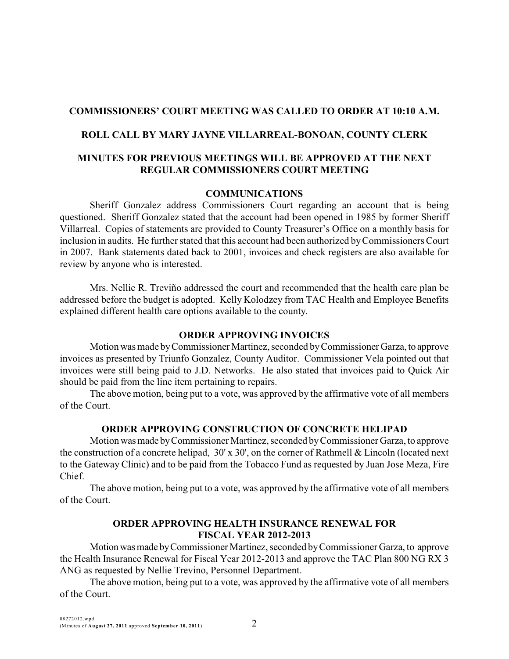## **COMMISSIONERS' COURT MEETING WAS CALLED TO ORDER AT 10:10 A.M.**

## **ROLL CALL BY MARY JAYNE VILLARREAL-BONOAN, COUNTY CLERK**

## **MINUTES FOR PREVIOUS MEETINGS WILL BE APPROVED AT THE NEXT REGULAR COMMISSIONERS COURT MEETING**

### **COMMUNICATIONS**

Sheriff Gonzalez address Commissioners Court regarding an account that is being questioned. Sheriff Gonzalez stated that the account had been opened in 1985 by former Sheriff Villarreal. Copies of statements are provided to County Treasurer's Office on a monthly basis for inclusion in audits. He further stated that this account had been authorized by Commissioners Court in 2007. Bank statements dated back to 2001, invoices and check registers are also available for review by anyone who is interested.

Mrs. Nellie R. Treviño addressed the court and recommended that the health care plan be addressed before the budget is adopted. Kelly Kolodzey from TAC Health and Employee Benefits explained different health care options available to the county.

### **ORDER APPROVING INVOICES**

Motion was made by Commissioner Martinez, seconded by Commissioner Garza, to approve invoices as presented by Triunfo Gonzalez, County Auditor. Commissioner Vela pointed out that invoices were still being paid to J.D. Networks. He also stated that invoices paid to Quick Air should be paid from the line item pertaining to repairs.

The above motion, being put to a vote, was approved by the affirmative vote of all members of the Court.

## **ORDER APPROVING CONSTRUCTION OF CONCRETE HELIPAD**

Motion was made by Commissioner Martinez, seconded by Commissioner Garza, to approve the construction of a concrete helipad, 30' x 30', on the corner of Rathmell & Lincoln (located next to the Gateway Clinic) and to be paid from the Tobacco Fund as requested by Juan Jose Meza, Fire Chief.

The above motion, being put to a vote, was approved by the affirmative vote of all members of the Court.

### **ORDER APPROVING HEALTH INSURANCE RENEWAL FOR FISCAL YEAR 2012-2013**

Motion was made by Commissioner Martinez, seconded by Commissioner Garza, to approve the Health Insurance Renewal for Fiscal Year 2012-2013 and approve the TAC Plan 800 NG RX 3 ANG as requested by Nellie Trevino, Personnel Department.

The above motion, being put to a vote, was approved by the affirmative vote of all members of the Court.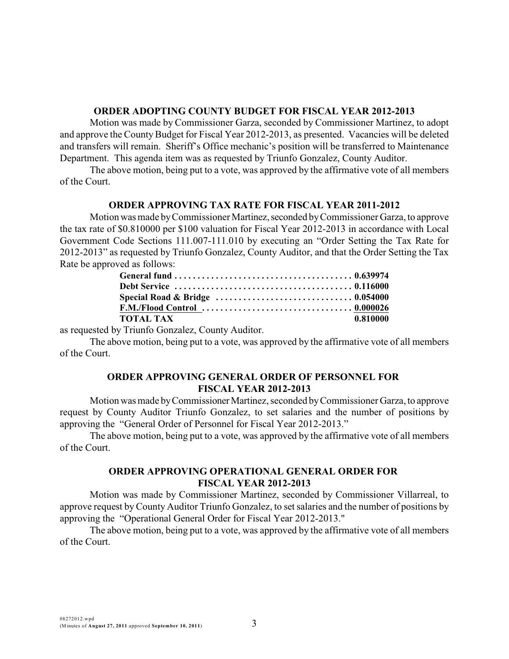#### **ORDER ADOPTING COUNTY BUDGET FOR FISCAL YEAR 2012-2013**

Motion was made by Commissioner Garza, seconded by Commissioner Martinez, to adopt and approve the County Budget for Fiscal Year 2012-2013, as presented. Vacancies will be deleted and transfers will remain. Sheriff's Office mechanic's position will be transferred to Maintenance Department. This agenda item was as requested by Triunfo Gonzalez, County Auditor.

The above motion, being put to a vote, was approved by the affirmative vote of all members of the Court.

### **ORDER APPROVING TAX RATE FOR FISCAL YEAR 2011-2012**

Motion was made by Commissioner Martinez, seconded by Commissioner Garza, to approve the tax rate of \$0.810000 per \$100 valuation for Fiscal Year 2012-2013 in accordance with Local Government Code Sections 111.007-111.010 by executing an "Order Setting the Tax Rate for 2012-2013" as requested by Triunfo Gonzalez, County Auditor, and that the Order Setting the Tax Rate be approved as follows:

| ΤΟΤΑΙ. ΤΑΧ | 0.810000 |
|------------|----------|

as requested by Triunfo Gonzalez, County Auditor.

The above motion, being put to a vote, was approved by the affirmative vote of all members of the Court.

### **ORDER APPROVING GENERAL ORDER OF PERSONNEL FOR FISCAL YEAR 2012-2013**

Motion was made by Commissioner Martinez, seconded by Commissioner Garza, to approve request by County Auditor Triunfo Gonzalez, to set salaries and the number of positions by approving the "General Order of Personnel for Fiscal Year 2012-2013."

The above motion, being put to a vote, was approved by the affirmative vote of all members of the Court.

## **ORDER APPROVING OPERATIONAL GENERAL ORDER FOR FISCAL YEAR 2012-2013**

Motion was made by Commissioner Martinez, seconded by Commissioner Villarreal, to approve request by County Auditor Triunfo Gonzalez, to set salaries and the number of positions by approving the "Operational General Order for Fiscal Year 2012-2013."

The above motion, being put to a vote, was approved by the affirmative vote of all members of the Court.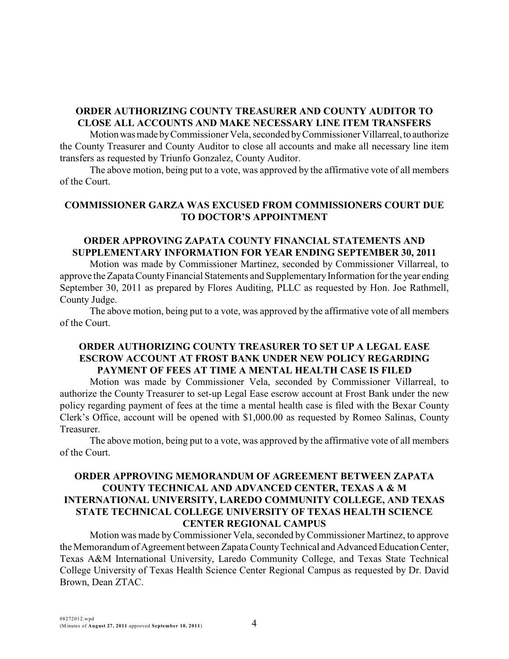# **ORDER AUTHORIZING COUNTY TREASURER AND COUNTY AUDITOR TO CLOSE ALL ACCOUNTS AND MAKE NECESSARY LINE ITEM TRANSFERS**

Motion was made by Commissioner Vela, seconded by Commissioner Villarreal, to authorize the County Treasurer and County Auditor to close all accounts and make all necessary line item transfers as requested by Triunfo Gonzalez, County Auditor.

The above motion, being put to a vote, was approved by the affirmative vote of all members of the Court.

## **COMMISSIONER GARZA WAS EXCUSED FROM COMMISSIONERS COURT DUE TO DOCTOR'S APPOINTMENT**

## **ORDER APPROVING ZAPATA COUNTY FINANCIAL STATEMENTS AND SUPPLEMENTARY INFORMATION FOR YEAR ENDING SEPTEMBER 30, 2011**

Motion was made by Commissioner Martinez, seconded by Commissioner Villarreal, to approve the Zapata County Financial Statements and Supplementary Information for the year ending September 30, 2011 as prepared by Flores Auditing, PLLC as requested by Hon. Joe Rathmell, County Judge.

The above motion, being put to a vote, was approved by the affirmative vote of all members of the Court.

### **ORDER AUTHORIZING COUNTY TREASURER TO SET UP A LEGAL EASE ESCROW ACCOUNT AT FROST BANK UNDER NEW POLICY REGARDING PAYMENT OF FEES AT TIME A MENTAL HEALTH CASE IS FILED**

Motion was made by Commissioner Vela, seconded by Commissioner Villarreal, to authorize the County Treasurer to set-up Legal Ease escrow account at Frost Bank under the new policy regarding payment of fees at the time a mental health case is filed with the Bexar County Clerk's Office, account will be opened with \$1,000.00 as requested by Romeo Salinas, County Treasurer.

The above motion, being put to a vote, was approved by the affirmative vote of all members of the Court.

## **ORDER APPROVING MEMORANDUM OF AGREEMENT BETWEEN ZAPATA COUNTY TECHNICAL AND ADVANCED CENTER, TEXAS A & M INTERNATIONAL UNIVERSITY, LAREDO COMMUNITY COLLEGE, AND TEXAS STATE TECHNICAL COLLEGE UNIVERSITY OF TEXAS HEALTH SCIENCE CENTER REGIONAL CAMPUS**

Motion was made byCommissioner Vela, seconded byCommissioner Martinez, to approve the Memorandum of Agreement between Zapata County Technical and Advanced Education Center, Texas A&M International University, Laredo Community College, and Texas State Technical College University of Texas Health Science Center Regional Campus as requested by Dr. David Brown, Dean ZTAC.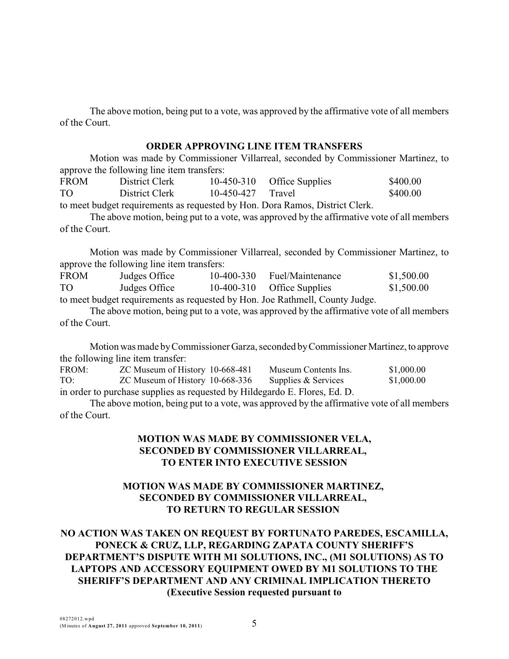The above motion, being put to a vote, was approved by the affirmative vote of all members of the Court.

### **ORDER APPROVING LINE ITEM TRANSFERS**

Motion was made by Commissioner Villarreal, seconded by Commissioner Martinez, to approve the following line item transfers:

| _____<br><b>FROM</b> | District Clerk |                     | 10-450-310 Office Supplies | \$400.00 |
|----------------------|----------------|---------------------|----------------------------|----------|
| <b>TO</b>            | District Clerk | $10-450-427$ Travel |                            | \$400.00 |

to meet budget requirements as requested by Hon. Dora Ramos, District Clerk.

The above motion, being put to a vote, was approved by the affirmative vote of all members of the Court.

Motion was made by Commissioner Villarreal, seconded by Commissioner Martinez, to approve the following line item transfers:

| <b>FROM</b> | Judges Office | 10-400-330 | Fuel/Maintenance                                                            | \$1,500.00 |
|-------------|---------------|------------|-----------------------------------------------------------------------------|------------|
| TO          | Judges Office |            | $10-400-310$ Office Supplies                                                | \$1,500.00 |
|             |               |            | to most budget requirements as requested by Hen. Lee Dethmoll, County Judge |            |

to meet budget requirements as requested by Hon. Joe Rathmell, County Judge.

The above motion, being put to a vote, was approved by the affirmative vote of all members of the Court.

Motion was made by Commissioner Garza, seconded by Commissioner Martinez, to approve the following line item transfer:

| FROM:                                                                      | ZC Museum of History 10-668-481 | Museum Contents Ins. | \$1,000.00 |  |
|----------------------------------------------------------------------------|---------------------------------|----------------------|------------|--|
| TO:                                                                        | ZC Museum of History 10-668-336 | Supplies & Services  | \$1,000.00 |  |
| in order to purchase supplies as requested by Hildegardo E. Flores, Ed. D. |                                 |                      |            |  |

The above motion, being put to a vote, was approved by the affirmative vote of all members of the Court.

## **MOTION WAS MADE BY COMMISSIONER VELA, SECONDED BY COMMISSIONER VILLARREAL, TO ENTER INTO EXECUTIVE SESSION**

## **MOTION WAS MADE BY COMMISSIONER MARTINEZ, SECONDED BY COMMISSIONER VILLARREAL, TO RETURN TO REGULAR SESSION**

# **NO ACTION WAS TAKEN ON REQUEST BY FORTUNATO PAREDES, ESCAMILLA, PONECK & CRUZ, LLP, REGARDING ZAPATA COUNTY SHERIFF'S DEPARTMENT'S DISPUTE WITH M1 SOLUTIONS, INC., (M1 SOLUTIONS) AS TO LAPTOPS AND ACCESSORY EQUIPMENT OWED BY M1 SOLUTIONS TO THE SHERIFF'S DEPARTMENT AND ANY CRIMINAL IMPLICATION THERETO (Executive Session requested pursuant to**